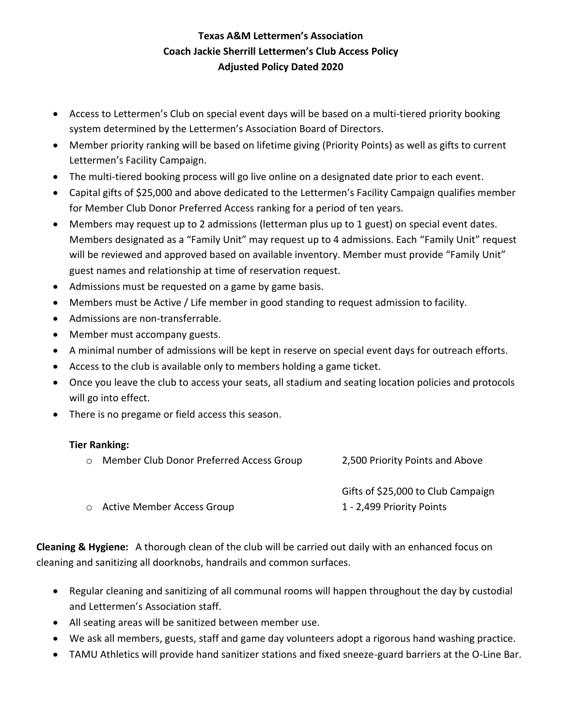## **Texas A&M Lettermen's Association Coach Jackie Sherrill Lettermen's Club Access Policy Adjusted Policy Dated 2020**

- Access to Lettermen's Club on special event days will be based on a multi-tiered priority booking system determined by the Lettermen's Association Board of Directors.
- Member priority ranking will be based on lifetime giving (Priority Points) as well as gifts to current Lettermen's Facility Campaign.
- The multi-tiered booking process will go live online on a designated date prior to each event.
- Capital gifts of \$25,000 and above dedicated to the Lettermen's Facility Campaign qualifies member for Member Club Donor Preferred Access ranking for a period of ten years.
- Members may request up to 2 admissions (letterman plus up to 1 guest) on special event dates. Members designated as a "Family Unit" may request up to 4 admissions. Each "Family Unit" request will be reviewed and approved based on available inventory. Member must provide "Family Unit" guest names and relationship at time of reservation request.
- Admissions must be requested on a game by game basis.
- Members must be Active / Life member in good standing to request admission to facility.
- Admissions are non-transferrable.
- Member must accompany guests.
- A minimal number of admissions will be kept in reserve on special event days for outreach efforts.
- Access to the club is available only to members holding a game ticket.
- Once you leave the club to access your seats, all stadium and seating location policies and protocols will go into effect.
- There is no pregame or field access this season.

### **Tier Ranking:**

| ○ Member Club Donor Preferred Access Group | 2,500 Priority Points and Above    |
|--------------------------------------------|------------------------------------|
|                                            | Gifts of \$25,000 to Club Campaign |
| o Active Member Access Group               | 1 - 2,499 Priority Points          |

**Cleaning & Hygiene:** A thorough clean of the club will be carried out daily with an enhanced focus on cleaning and sanitizing all doorknobs, handrails and common surfaces.

- Regular cleaning and sanitizing of all communal rooms will happen throughout the day by custodial and Lettermen's Association staff.
- All seating areas will be sanitized between member use.
- We ask all members, guests, staff and game day volunteers adopt a rigorous hand washing practice.
- TAMU Athletics will provide hand sanitizer stations and fixed sneeze-guard barriers at the O-Line Bar.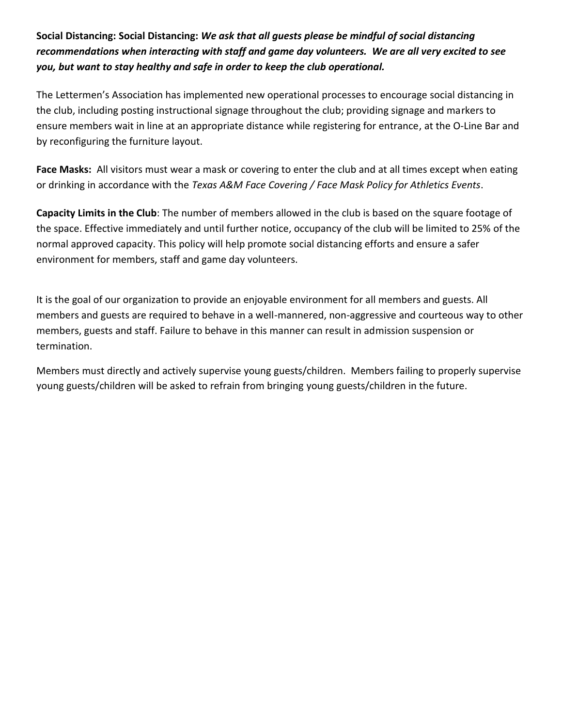**Social Distancing: Social Distancing:** *We ask that all guests please be mindful of social distancing recommendations when interacting with staff and game day volunteers. We are all very excited to see you, but want to stay healthy and safe in order to keep the club operational.*

The Lettermen's Association has implemented new operational processes to encourage social distancing in the club, including posting instructional signage throughout the club; providing signage and markers to ensure members wait in line at an appropriate distance while registering for entrance, at the O-Line Bar and by reconfiguring the furniture layout.

**Face Masks:** All visitors must wear a mask or covering to enter the club and at all times except when eating or drinking in accordance with the *Texas A&M Face Covering / Face Mask Policy for Athletics Events*.

**Capacity Limits in the Club**: The number of members allowed in the club is based on the square footage of the space. Effective immediately and until further notice, occupancy of the club will be limited to 25% of the normal approved capacity. This policy will help promote social distancing efforts and ensure a safer environment for members, staff and game day volunteers.

It is the goal of our organization to provide an enjoyable environment for all members and guests. All members and guests are required to behave in a well-mannered, non-aggressive and courteous way to other members, guests and staff. Failure to behave in this manner can result in admission suspension or termination.

Members must directly and actively supervise young guests/children. Members failing to properly supervise young guests/children will be asked to refrain from bringing young guests/children in the future.